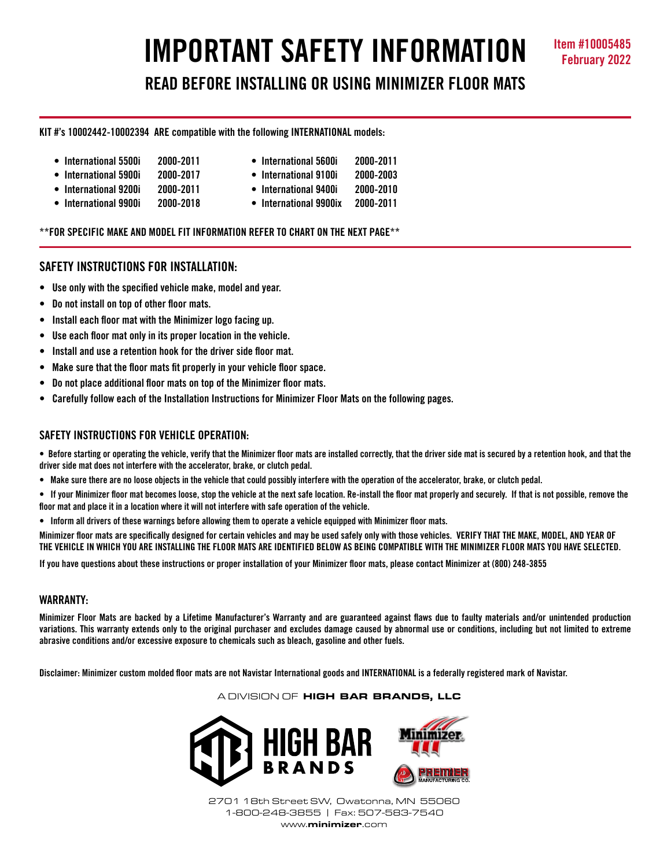# **IMPORTANT SAFETY INFORMATION Item #10005485 READ BEFORE INSTALLING OR USING MINIMIZER FLOOR MATS**

## **KIT #'s 10002442-10002394 ARE compatible with the following INTERNATIONAL models:**

- 
- **International 5500i 2000-2011 International 5600i 2000-2011**
- **International 5900i 2000-2017 International 9100i 2000-2003**
- **International 9200i 2000-2011 International 9400i 2000-2010**
- **International 9900i 2000-2018 International 9900ix 2000-2011**
- 
- **\*\*FOR SPECIFIC MAKE AND MODEL FIT INFORMATION REFER TO CHART ON THE NEXT PAGE\*\***

## **SAFETY INSTRUCTIONS FOR INSTALLATION:**

- **Use only with the specified vehicle make, model and year.**
- **Do not install on top of other floor mats.**
- **Install each floor mat with the Minimizer logo facing up.**
- **Use each floor mat only in its proper location in the vehicle.**
- **Install and use a retention hook for the driver side floor mat.**
- **Make sure that the floor mats fit properly in your vehicle floor space.**
- **Do not place additional floor mats on top of the Minimizer floor mats.**
- **Carefully follow each of the Installation Instructions for Minimizer Floor Mats on the following pages.**

## **SAFETY INSTRUCTIONS FOR VEHICLE OPERATION:**

**• Before starting or operating the vehicle, verify that the Minimizer floor mats are installed correctly, that the driver side mat is secured by a retention hook, and that the driver side mat does not interfere with the accelerator, brake, or clutch pedal.**

- **Make sure there are no loose objects in the vehicle that could possibly interfere with the operation of the accelerator, brake, or clutch pedal.**
- **If your Minimizer floor mat becomes loose, stop the vehicle at the next safe location. Re-install the floor mat properly and securely. If that is not possible, remove the floor mat and place it in a location where it will not interfere with safe operation of the vehicle.**
- **Inform all drivers of these warnings before allowing them to operate a vehicle equipped with Minimizer floor mats.**

**Minimizer floor mats are specifically designed for certain vehicles and may be used safely only with those vehicles. VERIFY THAT THE MAKE, MODEL, AND YEAR OF THE VEHICLE IN WHICH YOU ARE INSTALLING THE FLOOR MATS ARE IDENTIFIED BELOW AS BEING COMPATIBLE WITH THE MINIMIZER FLOOR MATS YOU HAVE SELECTED.** 

**If you have questions about these instructions or proper installation of your Minimizer floor mats, please contact Minimizer at (800) 248-3855**

## **WARRANTY:**

**Minimizer Floor Mats are backed by a Lifetime Manufacturer's Warranty and are guaranteed against flaws due to faulty materials and/or unintended production variations. This warranty extends only to the original purchaser and excludes damage caused by abnormal use or conditions, including but not limited to extreme abrasive conditions and/or excessive exposure to chemicals such as bleach, gasoline and other fuels.**

**Disclaimer: Minimizer custom molded floor mats are not Navistar International goods and INTERNATIONAL is a federally registered mark of Navistar.**

#### A DIVISION OF HIGH BAR BRANDS, LLC



2701 18th Street SW, Owatonna, MN 55060 1-800-248-3855 | Fax: 507-583-7540 www.minimizer.com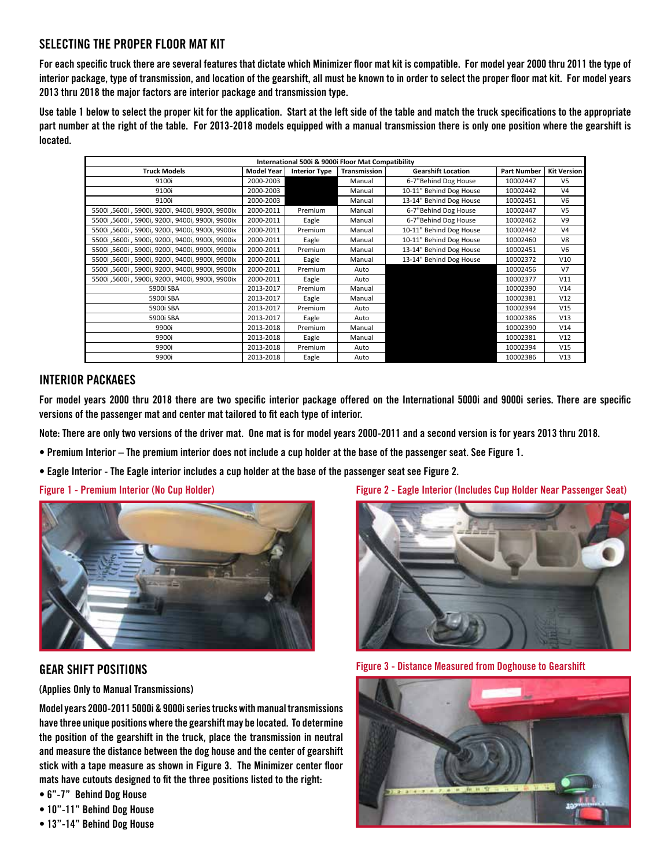# **SELECTING THE PROPER FLOOR MAT KIT**

**For each specific truck there are several features that dictate which Minimizer floor mat kit is compatible. For model year 2000 thru 2011 the type of interior package, type of transmission, and location of the gearshift, all must be known to in order to select the proper floor mat kit. For model years 2013 thru 2018 the major factors are interior package and transmission type.**

**Use table 1 below to select the proper kit for the application. Start at the left side of the table and match the truck specifications to the appropriate part number at the right of the table. For 2013-2018 models equipped with a manual transmission there is only one position where the gearshift is located.** 

| International 500i & 9000i Floor Mat Compatibility |                   |                      |              |                           |                    |                    |
|----------------------------------------------------|-------------------|----------------------|--------------|---------------------------|--------------------|--------------------|
| <b>Truck Models</b>                                | <b>Model Year</b> | <b>Interior Type</b> | Transmission | <b>Gearshift Location</b> | <b>Part Number</b> | <b>Kit Version</b> |
| 9100i                                              | 2000-2003         |                      | Manual       | 6-7"Behind Dog House      | 10002447           | V <sub>5</sub>     |
| 9100i                                              | 2000-2003         |                      | Manual       | 10-11" Behind Dog House   | 10002442           | V <sub>4</sub>     |
| 9100i                                              | 2000-2003         |                      | Manual       | 13-14" Behind Dog House   | 10002451           | V <sub>6</sub>     |
| 5500i ,5600i , 5900i, 9200i, 9400i, 9900i, 9900ix  | 2000-2011         | Premium              | Manual       | 6-7"Behind Dog House      | 10002447           | V <sub>5</sub>     |
| 5500i ,5600i , 5900i, 9200i, 9400i, 9900i, 9900ix  | 2000-2011         | Eagle                | Manual       | 6-7"Behind Dog House      | 10002462           | V <sub>9</sub>     |
| 5500i ,5600i , 5900i, 9200i, 9400i, 9900i, 9900ix  | 2000-2011         | Premium              | Manual       | 10-11" Behind Dog House   | 10002442           | V4                 |
| 5500i ,5600i , 5900i, 9200i, 9400i, 9900i, 9900ix  | 2000-2011         | Eagle                | Manual       | 10-11" Behind Dog House   | 10002460           | V8                 |
| 5500i ,5600i , 5900i, 9200i, 9400i, 9900i, 9900ix  | 2000-2011         | Premium              | Manual       | 13-14" Behind Dog House   | 10002451           | V <sub>6</sub>     |
| 5500i ,5600i , 5900i, 9200i, 9400i, 9900i, 9900ix  | 2000-2011         | Eagle                | Manual       | 13-14" Behind Dog House   | 10002372           | V10                |
| 5500i ,5600i , 5900i, 9200i, 9400i, 9900i, 9900ix  | 2000-2011         | Premium              | Auto         |                           | 10002456           | V <sub>7</sub>     |
| 5500i ,5600i , 5900i, 9200i, 9400i, 9900i, 9900ix  | 2000-2011         | Eagle                | Auto         |                           | 10002377           | V11                |
| 5900i SBA                                          | 2013-2017         | Premium              | Manual       |                           | 10002390           | V14                |
| 5900i SBA                                          | 2013-2017         | Eagle                | Manual       |                           | 10002381           | V12                |
| 5900i SBA                                          | 2013-2017         | Premium              | Auto         |                           | 10002394           | V15                |
| 5900i SBA                                          | 2013-2017         | Eagle                | Auto         |                           | 10002386           | V13                |
| 9900i                                              | 2013-2018         | Premium              | Manual       |                           | 10002390           | V14                |
| 9900i                                              | 2013-2018         | Eagle                | Manual       |                           | 10002381           | V12                |
| 9900i                                              | 2013-2018         | Premium              | Auto         |                           | 10002394           | V15                |
| 9900i                                              | 2013-2018         | Eagle                | Auto         |                           | 10002386           | V13                |

## **INTERIOR PACKAGES**

**For model years 2000 thru 2018 there are two specific interior package offered on the International 5000i and 9000i series. There are specific versions of the passenger mat and center mat tailored to fit each type of interior.** 

**Note: There are only two versions of the driver mat. One mat is for model years 2000-2011 and a second version is for years 2013 thru 2018.** 

- **Premium Interior The premium interior does not include a cup holder at the base of the passenger seat. See Figure 1.**
- **Eagle Interior The Eagle interior includes a cup holder at the base of the passenger seat see Figure 2.**



# **GEAR SHIFT POSITIONS**

**(Applies Only to Manual Transmissions)**

**Model years 2000-2011 5000i & 9000i series trucks with manual transmissions have three unique positions where the gearshift may be located. To determine the position of the gearshift in the truck, place the transmission in neutral and measure the distance between the dog house and the center of gearshift stick with a tape measure as shown in Figure 3. The Minimizer center floor mats have cutouts designed to fit the three positions listed to the right:**

- **6"-7" Behind Dog House**
- **10"-11" Behind Dog House**
- **13"-14" Behind Dog House**

**Figure 1 - Premium Interior (No Cup Holder) Figure 2 - Eagle Interior (Includes Cup Holder Near Passenger Seat)**



**Figure 3 - Distance Measured from Doghouse to Gearshift**

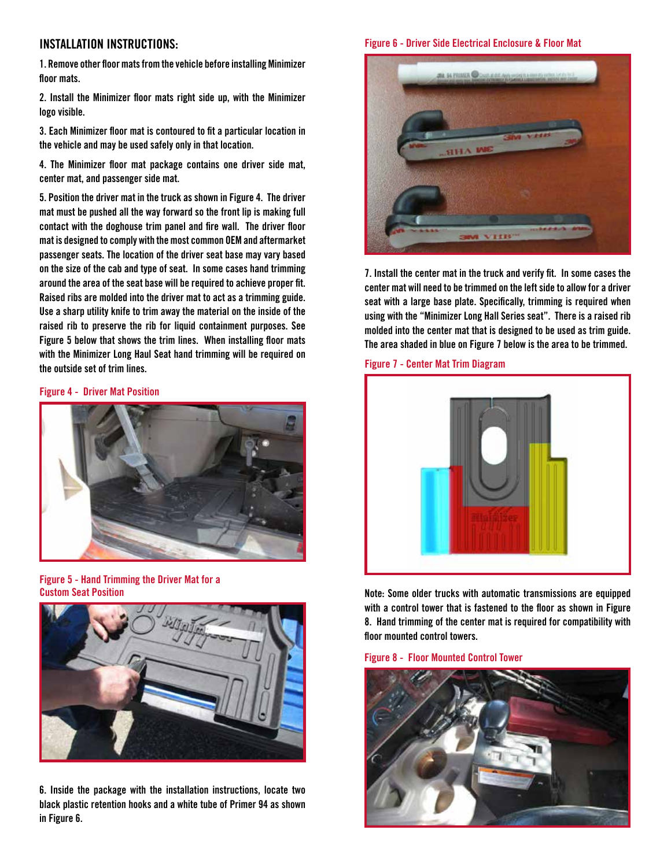## **INSTALLATION INSTRUCTIONS:**

**1. Remove other floor mats from the vehicle before installing Minimizer floor mats.**

**2. Install the Minimizer floor mats right side up, with the Minimizer logo visible.**

**3. Each Minimizer floor mat is contoured to fit a particular location in the vehicle and may be used safely only in that location.**

**4. The Minimizer floor mat package contains one driver side mat, center mat, and passenger side mat.** 

**5. Position the driver mat in the truck as shown in Figure 4. The driver mat must be pushed all the way forward so the front lip is making full contact with the doghouse trim panel and fire wall. The driver floor mat is designed to comply with the most common OEM and aftermarket passenger seats. The location of the driver seat base may vary based on the size of the cab and type of seat. In some cases hand trimming around the area of the seat base will be required to achieve proper fit. Raised ribs are molded into the driver mat to act as a trimming guide. Use a sharp utility knife to trim away the material on the inside of the raised rib to preserve the rib for liquid containment purposes. See Figure 5 below that shows the trim lines. When installing floor mats with the Minimizer Long Haul Seat hand trimming will be required on the outside set of trim lines.**

#### **Figure 4 - Driver Mat Position**



**Figure 5 - Hand Trimming the Driver Mat for a Custom Seat Position**



**6. Inside the package with the installation instructions, locate two black plastic retention hooks and a white tube of Primer 94 as shown in Figure 6.** 

### **Figure 6 - Driver Side Electrical Enclosure & Floor Mat**



**7. Install the center mat in the truck and verify fit. In some cases the center mat will need to be trimmed on the left side to allow for a driver seat with a large base plate. Specifically, trimming is required when using with the "Minimizer Long Hall Series seat". There is a raised rib molded into the center mat that is designed to be used as trim guide. The area shaded in blue on Figure 7 below is the area to be trimmed.**

#### **Figure 7 - Center Mat Trim Diagram**



**Note: Some older trucks with automatic transmissions are equipped with a control tower that is fastened to the floor as shown in Figure 8. Hand trimming of the center mat is required for compatibility with floor mounted control towers.**

**Figure 8 - Floor Mounted Control Tower**